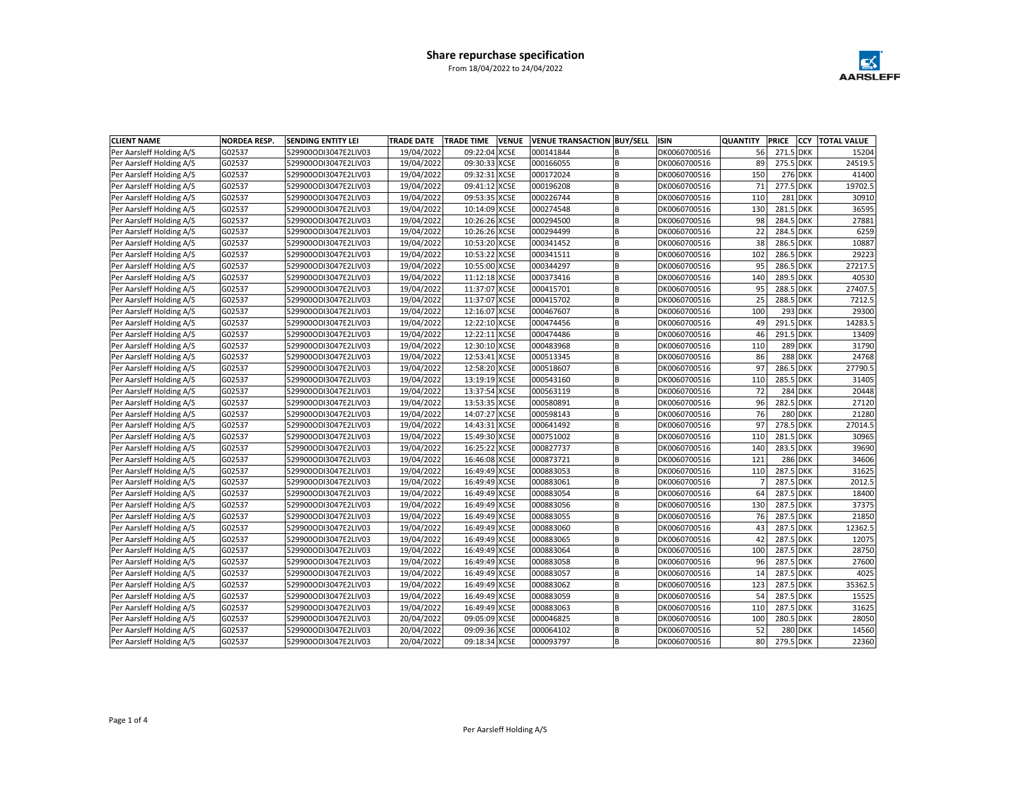

| <b>CLIENT NAME</b>       | <b>NORDEA RESP.</b> | SENDING ENTITY LEI   | <b>TRADE DATE</b> | <b>VENUE</b><br><b>TRADE TIME</b> | <b>VENUE TRANSACTION BUY/SELL</b> |   | <b>ISIN</b>  | <b>QUANTITY</b> | <b>PRICE</b><br><b>CCY</b> | <b>TOTAL VALUE</b> |
|--------------------------|---------------------|----------------------|-------------------|-----------------------------------|-----------------------------------|---|--------------|-----------------|----------------------------|--------------------|
| Per Aarsleff Holding A/S | G02537              | 529900ODI3047E2LIV03 | 19/04/2022        | 09:22:04 XCSE                     | 000141844                         | B | DK0060700516 | 56              | 271.5 DKK                  | 15204              |
| Per Aarsleff Holding A/S | G02537              | 529900ODI3047E2LIV03 | 19/04/2022        | 09:30:33 XCSE                     | 000166055                         | B | DK0060700516 | 89              | 275.5 DKK                  | 24519.5            |
| Per Aarsleff Holding A/S | G02537              | 529900ODI3047E2LIV03 | 19/04/2022        | 09:32:31 XCSE                     | 000172024                         | B | DK0060700516 | 150             | <b>276 DKK</b>             | 41400              |
| Per Aarsleff Holding A/S | G02537              | 529900ODI3047E2LIV03 | 19/04/2022        | 09:41:12 XCSE                     | 000196208                         | B | DK0060700516 | 71              | 277.5 DKK                  | 19702.5            |
| Per Aarsleff Holding A/S | G02537              | 529900ODI3047E2LIV03 | 19/04/2022        | 09:53:35 XCSE                     | 000226744                         | B | DK0060700516 | 110             | <b>281 DKK</b>             | 30910              |
| Per Aarsleff Holding A/S | G02537              | 529900ODI3047E2LIV03 | 19/04/2022        | 10:14:09 XCSE                     | 000274548                         | B | DK0060700516 | 130             | 281.5 DKK                  | 36595              |
| Per Aarsleff Holding A/S | G02537              | 529900ODI3047E2LIV03 | 19/04/2022        | 10:26:26 XCSE                     | 000294500                         | B | DK0060700516 | 98              | 284.5 DKK                  | 27881              |
| Per Aarsleff Holding A/S | G02537              | 529900ODI3047E2LIV03 | 19/04/2022        | 10:26:26 XCSE                     | 000294499                         | B | DK0060700516 | 22              | 284.5 DKK                  | 6259               |
| Per Aarsleff Holding A/S | G02537              | 529900ODI3047E2LIV03 | 19/04/2022        | 10:53:20 XCSE                     | 000341452                         | B | DK0060700516 | 38              | 286.5 DKK                  | 10887              |
| Per Aarsleff Holding A/S | G02537              | 529900ODI3047E2LIV03 | 19/04/2022        | 10:53:22 XCSE                     | 000341511                         | B | DK0060700516 | 102             | 286.5 DKK                  | 29223              |
| Per Aarsleff Holding A/S | G02537              | 529900ODI3047E2LIV03 | 19/04/2022        | 10:55:00 XCSE                     | 000344297                         | B | DK0060700516 | 95              | 286.5 DKK                  | 27217.5            |
| Per Aarsleff Holding A/S | G02537              | 529900ODI3047E2LIV03 | 19/04/2022        | 11:12:18 XCSE                     | 000373416                         | B | DK0060700516 | 140             | 289.5 DKK                  | 40530              |
| Per Aarsleff Holding A/S | G02537              | 529900ODI3047E2LIV03 | 19/04/2022        | 11:37:07 XCSE                     | 000415701                         | B | DK0060700516 | 95              | 288.5 DKK                  | 27407.5            |
| Per Aarsleff Holding A/S | G02537              | 529900ODI3047E2LIV03 | 19/04/2022        | 11:37:07 XCSE                     | 000415702                         | B | DK0060700516 | 25              | 288.5 DKK                  | 7212.5             |
| Per Aarsleff Holding A/S | G02537              | 529900ODI3047E2LIV03 | 19/04/2022        | 12:16:07 XCSE                     | 000467607                         | B | DK0060700516 | 100             | 293 DKK                    | 29300              |
| Per Aarsleff Holding A/S | G02537              | 529900ODI3047E2LIV03 | 19/04/2022        | 12:22:10 XCSE                     | 000474456                         | B | DK0060700516 | 49              | 291.5 DKK                  | 14283.5            |
| Per Aarsleff Holding A/S | G02537              | 529900ODI3047E2LIV03 | 19/04/2022        | 12:22:11 XCSE                     | 000474486                         | B | DK0060700516 | 46              | 291.5 DKK                  | 13409              |
| Per Aarsleff Holding A/S | G02537              | 529900ODI3047E2LIV03 | 19/04/2022        | 12:30:10 XCSE                     | 000483968                         | B | DK0060700516 | 110             | <b>289 DKK</b>             | 31790              |
| Per Aarsleff Holding A/S | G02537              | 529900ODI3047E2LIV03 | 19/04/2022        | 12:53:41 XCSE                     | 000513345                         | B | DK0060700516 | 86              | <b>288 DKK</b>             | 24768              |
| Per Aarsleff Holding A/S | G02537              | 529900ODI3047E2LIV03 | 19/04/2022        | 12:58:20 XCSE                     | 000518607                         | B | DK0060700516 | 97              | 286.5 DKK                  | 27790.5            |
| Per Aarsleff Holding A/S | G02537              | 529900ODI3047E2LIV03 | 19/04/2022        | 13:19:19 XCSE                     | 000543160                         | B | DK0060700516 | 110             | 285.5 DKK                  | 31405              |
| Per Aarsleff Holding A/S | G02537              | 529900ODI3047E2LIV03 | 19/04/2022        | 13:37:54 XCSE                     | 000563119                         | B | DK0060700516 | 72              | <b>284 DKK</b>             | 20448              |
| Per Aarsleff Holding A/S | G02537              | 529900ODI3047E2LIV03 | 19/04/2022        | 13:53:35 XCSE                     | 000580891                         | B | DK0060700516 | 96              | 282.5 DKK                  | 27120              |
| Per Aarsleff Holding A/S | G02537              | 529900ODI3047E2LIV03 | 19/04/2022        | 14:07:27 XCSE                     | 000598143                         | B | DK0060700516 | 76              | <b>280 DKK</b>             | 21280              |
| Per Aarsleff Holding A/S | G02537              | 529900ODI3047E2LIV03 | 19/04/2022        | 14:43:31 XCSE                     | 000641492                         | B | DK0060700516 | 97              | 278.5 DKK                  | 27014.5            |
| Per Aarsleff Holding A/S | G02537              | 529900ODI3047E2LIV03 | 19/04/2022        | 15:49:30 XCSE                     | 000751002                         | B | DK0060700516 | 110             | 281.5 DKK                  | 30965              |
| Per Aarsleff Holding A/S | G02537              | 529900ODI3047E2LIV03 | 19/04/2022        | 16:25:22 XCSE                     | 000827737                         | B | DK0060700516 | 140             | 283.5 DKK                  | 39690              |
| Per Aarsleff Holding A/S | G02537              | 529900ODI3047E2LIV03 | 19/04/2022        | 16:46:08 XCSE                     | 000873721                         | B | DK0060700516 | 121             | <b>286 DKK</b>             | 34606              |
| Per Aarsleff Holding A/S | G02537              | 529900ODI3047E2LIV03 | 19/04/2022        | 16:49:49 XCSE                     | 000883053                         | B | DK0060700516 | 110             | 287.5 DKK                  | 31625              |
| Per Aarsleff Holding A/S | G02537              | 529900ODI3047E2LIV03 | 19/04/2022        | 16:49:49 XCSE                     | 000883061                         | B | DK0060700516 |                 | 287.5 DKK                  | 2012.5             |
| Per Aarsleff Holding A/S | G02537              | 529900ODI3047E2LIV03 | 19/04/2022        | 16:49:49 XCSE                     | 000883054                         | B | DK0060700516 | 64              | 287.5 DKK                  | 18400              |
| Per Aarsleff Holding A/S | G02537              | 529900ODI3047E2LIV03 | 19/04/2022        | 16:49:49 XCSE                     | 000883056                         | B | DK0060700516 | 130             | 287.5 DKK                  | 37375              |
| Per Aarsleff Holding A/S | G02537              | 529900ODI3047E2LIV03 | 19/04/2022        | 16:49:49 XCSE                     | 000883055                         | B | DK0060700516 | 76              | 287.5 DKK                  | 21850              |
| Per Aarsleff Holding A/S | G02537              | 529900ODI3047E2LIV03 | 19/04/2022        | 16:49:49 XCSE                     | 000883060                         | B | DK0060700516 | 43              | 287.5 DKK                  | 12362.5            |
| Per Aarsleff Holding A/S | G02537              | 529900ODI3047E2LIV03 | 19/04/2022        | 16:49:49 XCSE                     | 000883065                         | B | DK0060700516 | 42              | 287.5 DKK                  | 12075              |
| Per Aarsleff Holding A/S | G02537              | 529900ODI3047E2LIV03 | 19/04/2022        | 16:49:49 XCSE                     | 000883064                         | B | DK0060700516 | 100             | 287.5 DKK                  | 28750              |
| Per Aarsleff Holding A/S | G02537              | 529900ODI3047E2LIV03 | 19/04/2022        | 16:49:49 XCSE                     | 000883058                         | B | DK0060700516 | 96              | 287.5 DKK                  | 27600              |
| Per Aarsleff Holding A/S | G02537              | 529900ODI3047E2LIV03 | 19/04/2022        | 16:49:49 XCSE                     | 000883057                         | B | DK0060700516 | 14              | 287.5 DKK                  | 4025               |
| Per Aarsleff Holding A/S | G02537              | 529900ODI3047E2LIV03 | 19/04/2022        | 16:49:49 XCSE                     | 000883062                         | B | DK0060700516 | 123             | 287.5 DKK                  | 35362.5            |
| Per Aarsleff Holding A/S | G02537              | 529900ODI3047E2LIV03 | 19/04/2022        | 16:49:49 XCSE                     | 000883059                         | B | DK0060700516 | 54              | 287.5 DKK                  | 15525              |
| Per Aarsleff Holding A/S | G02537              | 529900ODI3047E2LIV03 | 19/04/2022        | 16:49:49 XCSE                     | 000883063                         | B | DK0060700516 | 110             | 287.5 DKK                  | 31625              |
| Per Aarsleff Holding A/S | G02537              | 529900ODI3047E2LIV03 | 20/04/2022        | 09:05:09 XCSE                     | 000046825                         | B | DK0060700516 | 100             | 280.5 DKK                  | 28050              |
| Per Aarsleff Holding A/S | G02537              | 529900ODI3047E2LIV03 | 20/04/2022        | 09:09:36 XCSE                     | 000064102                         | B | DK0060700516 | 52              | <b>280 DKK</b>             | 14560              |
| Per Aarsleff Holding A/S | G02537              | 529900ODI3047E2LIV03 | 20/04/2022        | 09:18:34 XCSE                     | 000093797                         | B | DK0060700516 | 80              | 279.5 DKK                  | 22360              |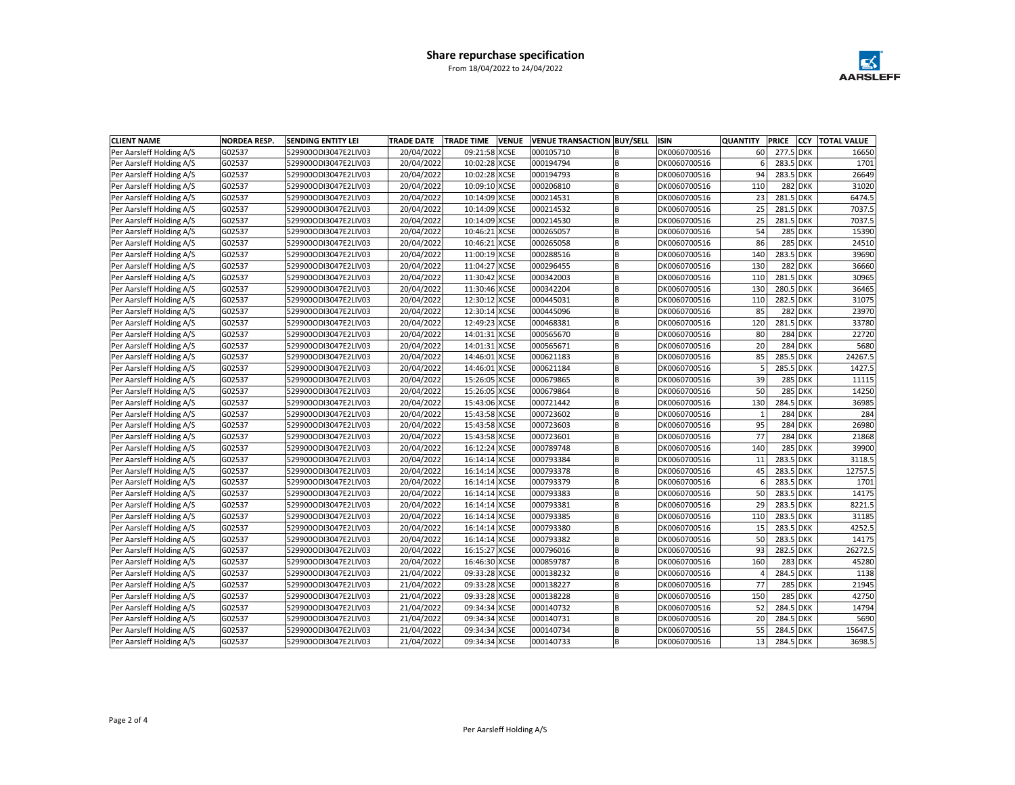

| <b>CLIENT NAME</b>       | <b>NORDEA RESP.</b> | SENDING ENTITY LEI   | <b>TRADE DATE</b> | <b>TRADE TIME</b> | <b>VENUE</b> | <b>VENUE TRANSACTION BUY/SELL</b> |   | <b>ISIN</b>  | <b>QUANTITY</b> | <b>PRICE</b> | CCY            | <b>TOTAL VALUE</b> |
|--------------------------|---------------------|----------------------|-------------------|-------------------|--------------|-----------------------------------|---|--------------|-----------------|--------------|----------------|--------------------|
| Per Aarsleff Holding A/S | G02537              | 529900ODI3047E2LIV03 | 20/04/2022        | 09:21:58 XCSE     |              | 000105710                         | B | DK0060700516 | 60              | 277.5 DKK    |                | 16650              |
| Per Aarsleff Holding A/S | G02537              | 529900ODI3047E2LIV03 | 20/04/2022        | 10:02:28 XCSE     |              | 000194794                         | B | DK0060700516 | 6               | 283.5 DKK    |                | 1701               |
| Per Aarsleff Holding A/S | G02537              | 529900ODI3047E2LIV03 | 20/04/2022        | 10:02:28 XCSE     |              | 000194793                         | B | DK0060700516 | 94              | 283.5 DKK    |                | 26649              |
| Per Aarsleff Holding A/S | G02537              | 529900ODI3047E2LIV03 | 20/04/2022        | 10:09:10 XCSE     |              | 000206810                         | R | DK0060700516 | 110             |              | <b>282 DKK</b> | 31020              |
| Per Aarsleff Holding A/S | G02537              | 529900ODI3047E2LIV03 | 20/04/2022        | 10:14:09 XCSE     |              | 000214531                         | B | DK0060700516 | 23              | 281.5 DKK    |                | 6474.5             |
| Per Aarsleff Holding A/S | G02537              | 529900ODI3047E2LIV03 | 20/04/2022        | 10:14:09 XCSE     |              | 000214532                         | B | DK0060700516 | 25              | 281.5 DKK    |                | 7037.5             |
| Per Aarsleff Holding A/S | G02537              | 529900ODI3047E2LIV03 | 20/04/2022        | 10:14:09 XCSE     |              | 000214530                         | B | DK0060700516 | 25              | 281.5 DKK    |                | 7037.5             |
| Per Aarsleff Holding A/S | G02537              | 529900ODI3047E2LIV03 | 20/04/2022        | 10:46:21 XCSE     |              | 000265057                         | B | DK0060700516 | 54              |              | <b>285 DKK</b> | 15390              |
| Per Aarsleff Holding A/S | G02537              | 529900ODI3047E2LIV03 | 20/04/2022        | 10:46:21 XCSE     |              | 000265058                         | B | DK0060700516 | 86              |              | <b>285 DKK</b> | 24510              |
| Per Aarsleff Holding A/S | G02537              | 529900ODI3047E2LIV03 | 20/04/2022        | 11:00:19 XCSE     |              | 000288516                         | B | DK0060700516 | 140             | 283.5 DKK    |                | 39690              |
| Per Aarsleff Holding A/S | G02537              | 529900ODI3047E2LIV03 | 20/04/2022        | 11:04:27 XCSE     |              | 000296455                         | B | DK0060700516 | 130             |              | <b>282 DKK</b> | 36660              |
| Per Aarsleff Holding A/S | G02537              | 529900ODI3047E2LIV03 | 20/04/2022        | 11:30:42 XCSE     |              | 000342003                         | B | DK0060700516 | 110             | 281.5 DKK    |                | 30965              |
| Per Aarsleff Holding A/S | G02537              | 529900ODI3047E2LIV03 | 20/04/2022        | 11:30:46 XCSE     |              | 000342204                         | R | DK0060700516 | 130             | 280.5 DKK    |                | 36465              |
| Per Aarsleff Holding A/S | G02537              | 529900ODI3047E2LIV03 | 20/04/2022        | 12:30:12 XCSE     |              | 000445031                         | B | DK0060700516 | 110             | 282.5 DKK    |                | 31075              |
| Per Aarsleff Holding A/S | G02537              | 529900ODI3047E2LIV03 | 20/04/2022        | 12:30:14 XCSE     |              | 000445096                         | B | DK0060700516 | 85              |              | <b>282 DKK</b> | 23970              |
| Per Aarsleff Holding A/S | G02537              | 529900ODI3047E2LIV03 | 20/04/2022        | 12:49:23 XCSE     |              | 000468381                         | B | DK0060700516 | 120             | 281.5 DKK    |                | 33780              |
| Per Aarsleff Holding A/S | G02537              | 529900ODI3047E2LIV03 | 20/04/2022        | 14:01:31 XCSE     |              | 000565670                         | B | DK0060700516 | 80              |              | <b>284 DKK</b> | 22720              |
| Per Aarsleff Holding A/S | G02537              | 529900ODI3047E2LIV03 | 20/04/2022        | 14:01:31 XCSE     |              | 000565671                         | B | DK0060700516 | 20              |              | <b>284 DKK</b> | 5680               |
| Per Aarsleff Holding A/S | G02537              | 529900ODI3047E2LIV03 | 20/04/2022        | 14:46:01 XCSE     |              | 000621183                         | R | DK0060700516 | 85              | 285.5 DKK    |                | 24267.5            |
| Per Aarsleff Holding A/S | G02537              | 529900ODI3047E2LIV03 | 20/04/2022        | 14:46:01 XCSE     |              | 000621184                         | B | DK0060700516 | 5               | 285.5 DKK    |                | 1427.5             |
| Per Aarsleff Holding A/S | G02537              | 529900ODI3047E2LIV03 | 20/04/2022        | 15:26:05 XCSE     |              | 000679865                         | B | DK0060700516 | 39              |              | <b>285 DKK</b> | 11115              |
| Per Aarsleff Holding A/S | G02537              | 529900ODI3047E2LIV03 | 20/04/2022        | 15:26:05 XCSE     |              | 000679864                         | B | DK0060700516 | 50              |              | <b>285 DKK</b> | 14250              |
| Per Aarsleff Holding A/S | G02537              | 529900ODI3047E2LIV03 | 20/04/2022        | 15:43:06 XCSE     |              | 000721442                         | B | DK0060700516 | 130             | 284.5 DKK    |                | 36985              |
| Per Aarsleff Holding A/S | G02537              | 529900ODI3047E2LIV03 | 20/04/2022        | 15:43:58 XCSE     |              | 000723602                         | B | DK0060700516 |                 |              | <b>284 DKK</b> | 284                |
| Per Aarsleff Holding A/S | G02537              | 529900ODI3047E2LIV03 | 20/04/2022        | 15:43:58 XCSE     |              | 000723603                         | B | DK0060700516 | 95              |              | 284 DKK        | 26980              |
| Per Aarsleff Holding A/S | G02537              | 529900ODI3047E2LIV03 | 20/04/2022        | 15:43:58 XCSE     |              | 000723601                         | B | DK0060700516 | 77              |              | <b>284 DKK</b> | 21868              |
| Per Aarsleff Holding A/S | G02537              | 529900ODI3047E2LIV03 | 20/04/2022        | 16:12:24 XCSE     |              | 000789748                         | B | DK0060700516 | 140             |              | <b>285 DKK</b> | 39900              |
| Per Aarsleff Holding A/S | G02537              | 529900ODI3047E2LIV03 | 20/04/2022        | 16:14:14 XCSE     |              | 000793384                         | R | DK0060700516 | 11              | 283.5 DKK    |                | 3118.5             |
| Per Aarsleff Holding A/S | G02537              | 529900ODI3047E2LIV03 | 20/04/2022        | 16:14:14 XCSE     |              | 000793378                         | B | DK0060700516 | 45              | 283.5 DKK    |                | 12757.5            |
| Per Aarsleff Holding A/S | G02537              | 529900ODI3047E2LIV03 | 20/04/2022        | 16:14:14 XCSE     |              | 000793379                         | B | DK0060700516 | 6               | 283.5 DKK    |                | 1701               |
| Per Aarsleff Holding A/S | G02537              | 529900ODI3047E2LIV03 | 20/04/2022        | 16:14:14 XCSE     |              | 000793383                         | B | DK0060700516 | 50              | 283.5 DKK    |                | 14175              |
| Per Aarsleff Holding A/S | G02537              | 529900ODI3047E2LIV03 | 20/04/2022        | 16:14:14 XCSE     |              | 000793381                         | B | DK0060700516 | 29              | 283.5 DKK    |                | 8221.5             |
| Per Aarsleff Holding A/S | G02537              | 529900ODI3047E2LIV03 | 20/04/2022        | 16:14:14 XCSE     |              | 000793385                         | B | DK0060700516 | 110             | 283.5 DKK    |                | 31185              |
| Per Aarsleff Holding A/S | G02537              | 529900ODI3047E2LIV03 | 20/04/2022        | 16:14:14 XCSE     |              | 000793380                         | B | DK0060700516 | 15              | 283.5 DKK    |                | 4252.5             |
| Per Aarsleff Holding A/S | G02537              | 529900ODI3047E2LIV03 | 20/04/2022        | 16:14:14 XCSE     |              | 000793382                         | B | DK0060700516 | 50              | 283.5 DKK    |                | 14175              |
| Per Aarsleff Holding A/S | G02537              | 529900ODI3047E2LIV03 | 20/04/2022        | 16:15:27 XCSE     |              | 000796016                         | B | DK0060700516 | 93              | 282.5 DKK    |                | 26272.5            |
| Per Aarsleff Holding A/S | G02537              | 529900ODI3047E2LIV03 | 20/04/2022        | 16:46:30 XCSE     |              | 000859787                         | B | DK0060700516 | 160             |              | <b>283 DKK</b> | 45280              |
| Per Aarsleff Holding A/S | G02537              | 529900ODI3047E2LIV03 | 21/04/2022        | 09:33:28 XCSE     |              | 000138232                         | B | DK0060700516 | $\overline{4}$  | 284.5 DKK    |                | 1138               |
| Per Aarsleff Holding A/S | G02537              | 529900ODI3047E2LIV03 | 21/04/2022        | 09:33:28 XCSE     |              | 000138227                         | B | DK0060700516 | 77              |              | <b>285 DKK</b> | 21945              |
| Per Aarsleff Holding A/S | G02537              | 529900ODI3047E2LIV03 | 21/04/2022        | 09:33:28 XCSE     |              | 000138228                         | B | DK0060700516 | 150             |              | <b>285 DKK</b> | 42750              |
| Per Aarsleff Holding A/S | G02537              | 529900ODI3047E2LIV03 | 21/04/2022        | 09:34:34 XCSE     |              | 000140732                         | B | DK0060700516 | 52              | 284.5 DKK    |                | 14794              |
| Per Aarsleff Holding A/S | G02537              | 529900ODI3047E2LIV03 | 21/04/2022        | 09:34:34 XCSE     |              | 000140731                         | B | DK0060700516 | 20              | 284.5 DKK    |                | 5690               |
| Per Aarsleff Holding A/S | G02537              | 529900ODI3047E2LIV03 | 21/04/2022        | 09:34:34 XCSE     |              | 000140734                         | B | DK0060700516 | 55              | 284.5 DKK    |                | 15647.5            |
| Per Aarsleff Holding A/S | G02537              | 529900ODI3047E2LIV03 | 21/04/2022        | 09:34:34 XCSE     |              | 000140733                         | B | DK0060700516 | 13              | 284.5 DKK    |                | 3698.5             |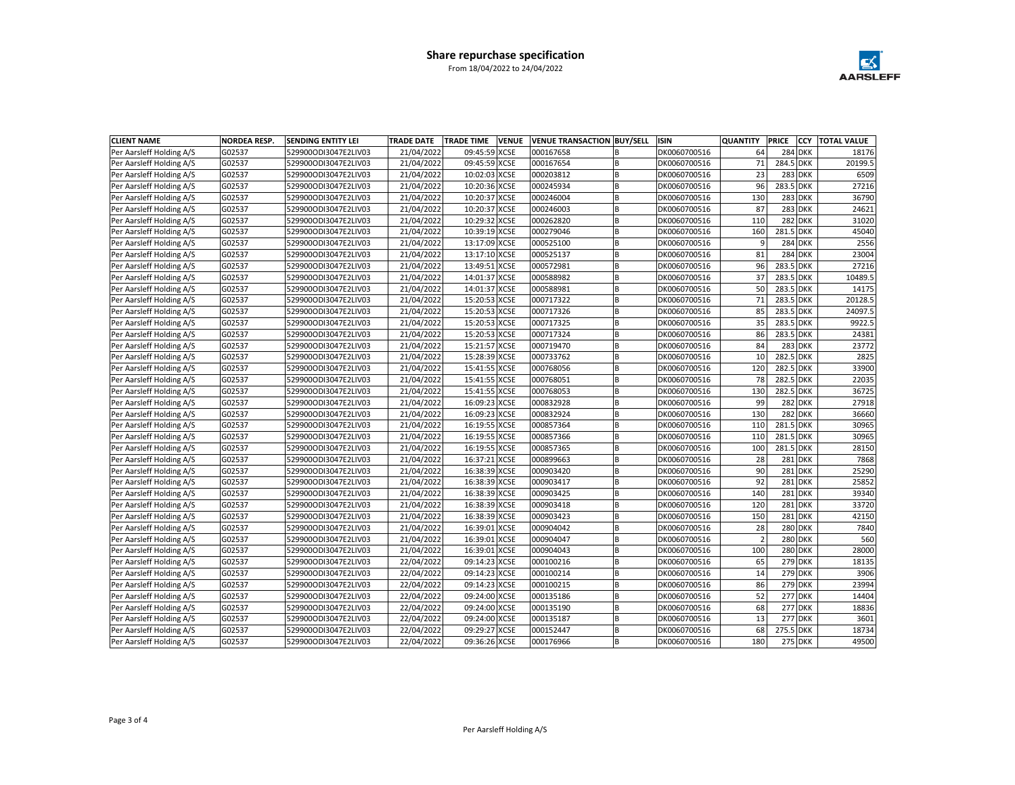

| <b>CLIENT NAME</b>       | <b>NORDEA RESP.</b> | SENDING ENTITY LEI   | <b>TRADE DATE</b> | <b>TRADE TIME</b> | <b>VENUE</b> | <b>VENUE TRANSACTION BUY/SELL</b> |   | <b>ISIN</b>  | <b>QUANTITY</b> | <b>PRICE</b> | <b>CCY</b>     | <b>TOTAL VALUE</b> |
|--------------------------|---------------------|----------------------|-------------------|-------------------|--------------|-----------------------------------|---|--------------|-----------------|--------------|----------------|--------------------|
| Per Aarsleff Holding A/S | G02537              | 529900ODI3047E2LIV03 | 21/04/2022        | 09:45:59 XCSE     |              | 000167658                         | B | DK0060700516 | 64              |              | <b>284 DKK</b> | 18176              |
| Per Aarsleff Holding A/S | G02537              | 529900ODI3047E2LIV03 | 21/04/2022        | 09:45:59 XCSE     |              | 000167654                         | B | DK0060700516 | 71              | 284.5 DKK    |                | 20199.5            |
| Per Aarsleff Holding A/S | G02537              | 529900ODI3047E2LIV03 | 21/04/2022        | 10:02:03 XCSE     |              | 000203812                         | B | DK0060700516 | 23              |              | <b>283 DKK</b> | 6509               |
| Per Aarsleff Holding A/S | G02537              | 529900ODI3047E2LIV03 | 21/04/2022        | 10:20:36 XCSE     |              | 000245934                         | B | DK0060700516 | 96              | 283.5 DKK    |                | 27216              |
| Per Aarsleff Holding A/S | G02537              | 529900ODI3047E2LIV03 | 21/04/2022        | 10:20:37 XCSE     |              | 000246004                         | B | DK0060700516 | 130             |              | <b>283 DKK</b> | 36790              |
| Per Aarsleff Holding A/S | G02537              | 529900ODI3047E2LIV03 | 21/04/2022        | 10:20:37 XCSE     |              | 000246003                         | B | DK0060700516 | 87              |              | <b>283 DKK</b> | 24621              |
| Per Aarsleff Holding A/S | G02537              | 529900ODI3047E2LIV03 | 21/04/2022        | 10:29:32 XCSE     |              | 000262820                         | B | DK0060700516 | 110             |              | <b>282 DKK</b> | 31020              |
| Per Aarsleff Holding A/S | G02537              | 529900ODI3047E2LIV03 | 21/04/2022        | 10:39:19 XCSE     |              | 000279046                         | B | DK0060700516 | 160             | 281.5 DKK    |                | 45040              |
| Per Aarsleff Holding A/S | G02537              | 529900ODI3047E2LIV03 | 21/04/2022        | 13:17:09 XCSE     |              | 000525100                         | B | DK0060700516 | 9               |              | <b>284 DKK</b> | 2556               |
| Per Aarsleff Holding A/S | G02537              | 529900ODI3047E2LIV03 | 21/04/2022        | 13:17:10 XCSE     |              | 000525137                         | B | DK0060700516 | 81              |              | <b>284 DKK</b> | 23004              |
| Per Aarsleff Holding A/S | G02537              | 529900ODI3047E2LIV03 | 21/04/2022        | 13:49:51 XCSE     |              | 000572981                         | B | DK0060700516 | 96              | 283.5 DKK    |                | 27216              |
| Per Aarsleff Holding A/S | G02537              | 529900ODI3047E2LIV03 | 21/04/2022        | 14:01:37 XCSE     |              | 000588982                         | B | DK0060700516 | 37              | 283.5 DKK    |                | 10489.5            |
| Per Aarsleff Holding A/S | G02537              | 529900ODI3047E2LIV03 | 21/04/2022        | 14:01:37 XCSE     |              | 000588981                         | B | DK0060700516 | 50              | 283.5 DKK    |                | 14175              |
| Per Aarsleff Holding A/S | G02537              | 529900ODI3047E2LIV03 | 21/04/2022        | 15:20:53 XCSE     |              | 000717322                         | B | DK0060700516 | 71              | 283.5 DKK    |                | 20128.5            |
| Per Aarsleff Holding A/S | G02537              | 529900ODI3047E2LIV03 | 21/04/2022        | 15:20:53 XCSE     |              | 000717326                         | B | DK0060700516 | 85              | 283.5 DKK    |                | 24097.5            |
| Per Aarsleff Holding A/S | G02537              | 529900ODI3047E2LIV03 | 21/04/2022        | 15:20:53 XCSE     |              | 000717325                         | B | DK0060700516 | 35              | 283.5 DKK    |                | 9922.5             |
| Per Aarsleff Holding A/S | G02537              | 529900ODI3047E2LIV03 | 21/04/2022        | 15:20:53 XCSE     |              | 000717324                         | B | DK0060700516 | 86              | 283.5 DKK    |                | 24381              |
| Per Aarsleff Holding A/S | G02537              | 529900ODI3047E2LIV03 | 21/04/2022        | 15:21:57 XCSE     |              | 000719470                         | B | DK0060700516 | 84              |              | <b>283 DKK</b> | 23772              |
| Per Aarsleff Holding A/S | G02537              | 529900ODI3047E2LIV03 | 21/04/2022        | 15:28:39 XCSE     |              | 000733762                         | B | DK0060700516 | 10              | 282.5 DKK    |                | 2825               |
| Per Aarsleff Holding A/S | G02537              | 529900ODI3047E2LIV03 | 21/04/2022        | 15:41:55 XCSE     |              | 000768056                         | B | DK0060700516 | 120             | 282.5 DKK    |                | 33900              |
| Per Aarsleff Holding A/S | G02537              | 529900ODI3047E2LIV03 | 21/04/2022        | 15:41:55 XCSE     |              | 000768051                         | B | DK0060700516 | 78              | 282.5 DKK    |                | 22035              |
| Per Aarsleff Holding A/S | G02537              | 529900ODI3047E2LIV03 | 21/04/2022        | 15:41:55 XCSE     |              | 000768053                         | B | DK0060700516 | 130             | 282.5 DKK    |                | 36725              |
| Per Aarsleff Holding A/S | G02537              | 529900ODI3047E2LIV03 | 21/04/2022        | 16:09:23 XCSE     |              | 000832928                         | B | DK0060700516 | 99              |              | <b>282 DKK</b> | 27918              |
| Per Aarsleff Holding A/S | G02537              | 529900ODI3047E2LIV03 | 21/04/2022        | 16:09:23 XCSE     |              | 000832924                         | B | DK0060700516 | 130             |              | <b>282 DKK</b> | 36660              |
| Per Aarsleff Holding A/S | G02537              | 529900ODI3047E2LIV03 | 21/04/2022        | 16:19:55 XCSE     |              | 000857364                         | B | DK0060700516 | 110             | 281.5 DKK    |                | 30965              |
| Per Aarsleff Holding A/S | G02537              | 529900ODI3047E2LIV03 | 21/04/2022        | 16:19:55 XCSE     |              | 000857366                         | B | DK0060700516 | 110             | 281.5 DKK    |                | 30965              |
| Per Aarsleff Holding A/S | G02537              | 529900ODI3047E2LIV03 | 21/04/2022        | 16:19:55 XCSE     |              | 000857365                         | B | DK0060700516 | 100             | 281.5 DKK    |                | 28150              |
| Per Aarsleff Holding A/S | G02537              | 529900ODI3047E2LIV03 | 21/04/2022        | 16:37:21 XCSE     |              | 000899663                         | B | DK0060700516 | 28              |              | <b>281 DKK</b> | 7868               |
| Per Aarsleff Holding A/S | G02537              | 529900ODI3047E2LIV03 | 21/04/2022        | 16:38:39 XCSE     |              | 000903420                         | B | DK0060700516 | 90              |              | <b>281 DKK</b> | 25290              |
| Per Aarsleff Holding A/S | G02537              | 529900ODI3047E2LIV03 | 21/04/2022        | 16:38:39 XCSE     |              | 000903417                         | B | DK0060700516 | 92              |              | <b>281 DKK</b> | 25852              |
| Per Aarsleff Holding A/S | G02537              | 529900ODI3047E2LIV03 | 21/04/2022        | 16:38:39 XCSE     |              | 000903425                         | B | DK0060700516 | 140             |              | <b>281 DKK</b> | 39340              |
| Per Aarsleff Holding A/S | G02537              | 529900ODI3047E2LIV03 | 21/04/2022        | 16:38:39 XCSE     |              | 000903418                         | B | DK0060700516 | 120             |              | <b>281 DKK</b> | 33720              |
| Per Aarsleff Holding A/S | G02537              | 529900ODI3047E2LIV03 | 21/04/2022        | 16:38:39 XCSE     |              | 000903423                         | B | DK0060700516 | 150             |              | <b>281 DKK</b> | 42150              |
| Per Aarsleff Holding A/S | G02537              | 529900ODI3047E2LIV03 | 21/04/2022        | 16:39:01 XCSE     |              | 000904042                         | B | DK0060700516 | 28              |              | <b>280 DKK</b> | 7840               |
| Per Aarsleff Holding A/S | G02537              | 529900ODI3047E2LIV03 | 21/04/2022        | 16:39:01 XCSE     |              | 000904047                         | B | DK0060700516 | $\overline{2}$  |              | <b>280 DKK</b> | 560                |
| Per Aarsleff Holding A/S | G02537              | 529900ODI3047E2LIV03 | 21/04/2022        | 16:39:01 XCSE     |              | 000904043                         | B | DK0060700516 | 100             |              | <b>280 DKK</b> | 28000              |
| Per Aarsleff Holding A/S | G02537              | 529900ODI3047E2LIV03 | 22/04/2022        | 09:14:23 XCSE     |              | 000100216                         | B | DK0060700516 | 65              |              | <b>279 DKK</b> | 18135              |
| Per Aarsleff Holding A/S | G02537              | 529900ODI3047E2LIV03 | 22/04/2022        | 09:14:23 XCSE     |              | 000100214                         | B | DK0060700516 | 14              |              | <b>279 DKK</b> | 3906               |
| Per Aarsleff Holding A/S | G02537              | 529900ODI3047E2LIV03 | 22/04/2022        | 09:14:23 XCSE     |              | 000100215                         | B | DK0060700516 | 86              |              | 279 DKK        | 23994              |
| Per Aarsleff Holding A/S | G02537              | 529900ODI3047E2LIV03 | 22/04/2022        | 09:24:00 XCSE     |              | 000135186                         | B | DK0060700516 | 52              |              | <b>277 DKK</b> | 14404              |
| Per Aarsleff Holding A/S | G02537              | 529900ODI3047E2LIV03 | 22/04/2022        | 09:24:00 XCSE     |              | 000135190                         | B | DK0060700516 | 68              |              | <b>277 DKK</b> | 18836              |
| Per Aarsleff Holding A/S | G02537              | 529900ODI3047E2LIV03 | 22/04/2022        | 09:24:00 XCSE     |              | 000135187                         | B | DK0060700516 | 13              |              | <b>277 DKK</b> | 3601               |
| Per Aarsleff Holding A/S | G02537              | 529900ODI3047E2LIV03 | 22/04/2022        | 09:29:27 XCSE     |              | 000152447                         | B | DK0060700516 | 68              | 275.5 DKK    |                | 18734              |
| Per Aarsleff Holding A/S | G02537              | 529900ODI3047E2LIV03 | 22/04/2022        | 09:36:26 XCSE     |              | 000176966                         | B | DK0060700516 | 180             |              | <b>275 DKK</b> | 49500              |